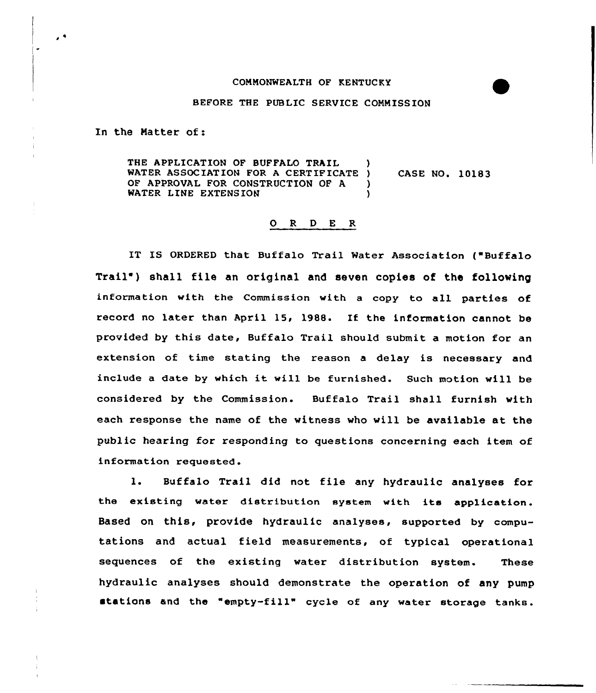## COMMONWEALTH OF KENTUCKY

## BEFORE THE PUBLIC SERVICE COMMISSION

In the Matter of:

٠

THE APPLICATION OF BUFFALO TRAIL WATER ASSOCIATION FOR A CERTIFICATE ) OF APPROVAL FOR CONSTRUCTION OF A )<br>WATER LINE EXTENSION WATER LINE EXTENSION CASE NO. 10183

## 0 <sup>R</sup> <sup>D</sup> E <sup>R</sup>

IT IS ORDERED that Buffalo Trail Water Association ("Buffalo Trail") shall file an original and seven copies of the following information with the Commission with a copy to all parties of record no later than April 15, 1988. If the information cannot be provided by this date, Buffalo Trail should submit a motion for an extension of time stating the reason a delay is necessary and include <sup>a</sup> date by which it will be furnished. Such motion will be considered by the Commission. Buffalo Trail shall furnish with each response the name of the witness who will be available at the public hearing for responding to questions concerning each item of information requested.

l. Buffalo Trail did not file any hydraulic analyses for the existing water distribution system with its application. Based on this, provide hydraulic analyses, supported by computations and actual field measurements, of typical operational sequences of the existing water distribution system. These hydraulic analyses should demonstrate the operation of any pump stations and the "empty-fill" cycle of any water storage tanks.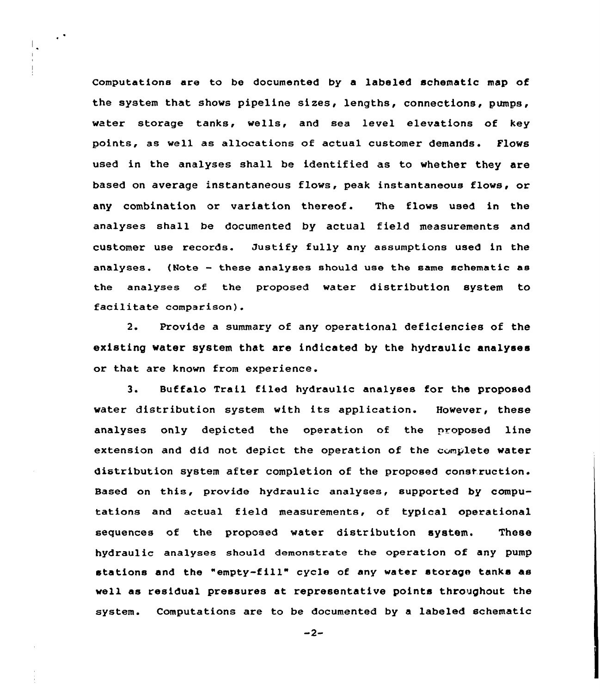Computations are to be documented by a labeled schematic map of the system that shows pipeline sizes, lengths, connections, pumps, water storage tanks, wells, and sea level elevations of key points, as well as allocations of actual customer demands. Flows used in the analyses shall be identified as to whether they are based on average instantaneous flows, peak instantaneous flows, or any combination or variation thereof. The flows used in the analyses shall be documented by actual field measurements and customer use records. Justify fully any assumptions used in the analyses. (Note — these analyses should use the same schematic as the analyses of the proposed water distribution system to facilitate comparison).

 $\epsilon$ 

 $\mathbb{L}$ 

2. Provide a summary of any operational deficiencies of the existing water system that are indicated by the hydraulic analyses or that are known from experience.

3. Buffalo Trail filed hydraulic analyses for the proposed water distribution system with its application. However, these analyses only depicted the operation of the proposed line extension and did not depict the operation of the complete water distribution system after completion of the proposed construction. Based on this, provide hydraulic analyses, supported by computations and actual field measurements, of typical operational sequences of the proposed water distribution system. These hydraulic analyses should demonstrate the operation of any pump stations and the "empty-fill" cycle of any water storage tanks as well as residual pressures at representative points throughout the system. Computations are to be documented by a labeled schematic

 $-2-$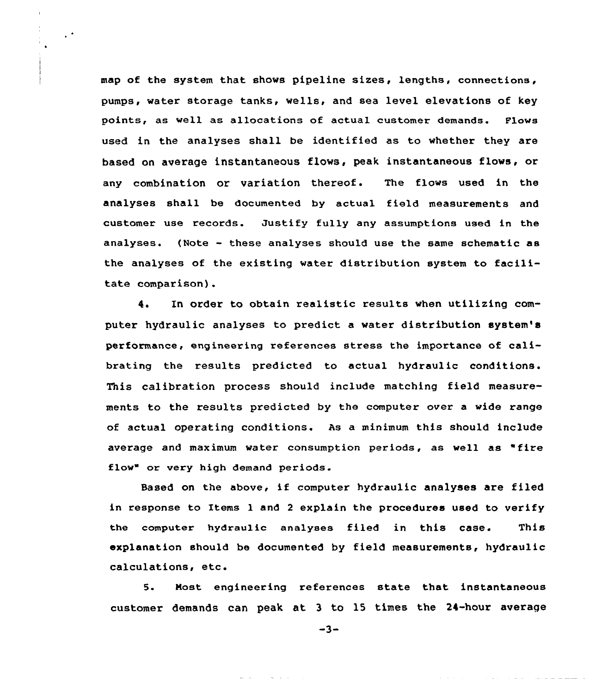map of the system that shows pipeline sizes, lengths, connections, pumps, water storage tanks, wells, and sea level elevations of key points, as well as allocations of actual customer demands. Plows used in the analyses shall be identified as to whether they are based on average instantaneous flows, peak instantaneous flows, or any combination or variation thereof. The flows used in the analyses shall be documented by actual field measurements and customer use records. Justify fully any assumptions used in the analyses. (Note - these analyses should use the same schematic as the analyses of the existing water distribution system to facilitate comparison).

 $\sim$ 

4. In order to obtain realistic results when utilizing computer hydraulic analyses to predict a water distribution system's performance, engineering references stress the importance of calibrating the results predicted to actual hydraulic conditions. This calibration process should include matching field measurements to the results predicted by the computer over a wide range of actual operating conditions. As a minimum this should include average and maximum water consumption periods, as well as "fire flow" or very high demand periods.

Based on the above, if computer hydraulic analyses are filed in response to Items 1 and <sup>2</sup> explain the procedures used to verify the computer hydraulic analyses filed in this case. This explanation should be documented by field measurements, hydraulic calculations, etc.

5. Nost engineering references state that instantaneous customer demands can peak at 3 to ls times the 24-hour average

 $-3-$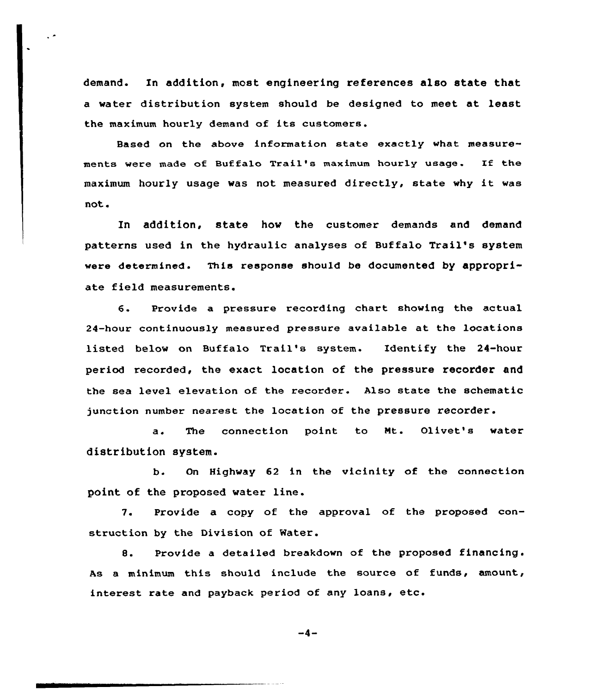demand. In addition, most engineering references also state that a water distribution system should be designed to meet at least the maximum hourly demand of its customers.

 $\ddot{\phantom{0}}$ 

Based on the above information state exactly what measurements were made of Buffalo Trail's maximum hourly usage. If the maximum hourly usage was not measured directly, state why it was not.

In addition, state how the customer demands and demand patterns used in the hydraulic analyses of Buffalo Trail's system were determined. This response should be documented by appropriate field measurements.

6. Provide a pressure recording chart showing the actual 24-hour continuously measured pressure available at the locations listed below on Buffalo Trail's system. Identify the 24-hour period recorded, the exact location of the pressure recorder and the sea level elevation of the recorder. Also state the schematic junction number nearest the location of the pressure recorder.

a. The connection point to Nt. Olivet's water distribution system.

b. On Highway 62 in the vicinity of the connection point of the proposed water line.

7. Provide a copy of the approval of the proposed construction by the Division of Mater.

8. Provide a detailed breakdown of the proposed financing. As a minimum this should include the source of funds, amount, interest rate and payback period of any loans, etc.

 $-4-$